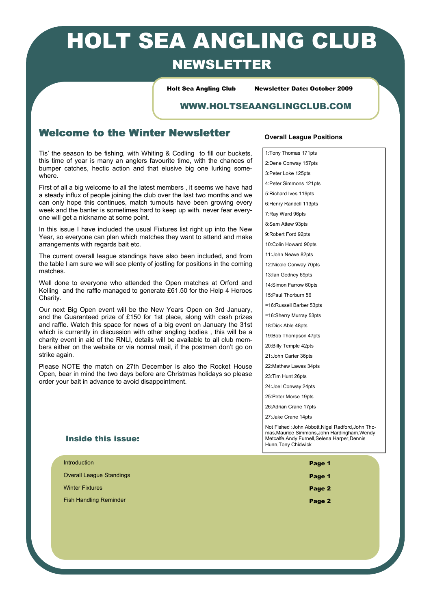# HOLT SEA ANGLING CLUB NEWSLETTER

Holt Sea Angling Club Newsletter Date: October 2009

### WWW.HOLTSEAANGLINGCLUB.COM

## Welcome to the Winter Newsletter

Tis' the season to be fishing, with Whiting & Codling to fill our buckets, this time of year is many an anglers favourite time, with the chances of bumper catches, hectic action and that elusive big one lurking somewhere.

First of all a big welcome to all the latest members , it seems we have had a steady influx of people joining the club over the last two months and we can only hope this continues, match turnouts have been growing every week and the banter is sometimes hard to keep up with, never fear everyone will get a nickname at some point.

In this issue I have included the usual Fixtures list right up into the New Year, so everyone can plan which matches they want to attend and make arrangements with regards bait etc.

The current overall league standings have also been included, and from the table I am sure we will see plenty of jostling for positions in the coming matches.

Well done to everyone who attended the Open matches at Orford and Kelling and the raffle managed to generate £61.50 for the Help 4 Heroes Charity.

Our next Big Open event will be the New Years Open on 3rd January, and the Guaranteed prize of £150 for 1st place, along with cash prizes and raffle. Watch this space for news of a big event on January the 31st which is currently in discussion with other angling bodies , this will be a charity event in aid of the RNLI, details will be available to all club members either on the website or via normal mail, if the postmen don't go on strike again.

Please NOTE the match on 27th December is also the Rocket House Open, bear in mind the two days before are Christmas holidays so please order your bait in advance to avoid disappointment.

### Inside this issue:

# Introduction  $\blacksquare$ Overall League Standings **Page 1 Page 1** Winter Fixtures **Page 2** Fish Handling Reminder Page 2 and the page 2 and the page 2 and the page 2 and the page 2

### **Overall League Positions**

1:Tony Thomas 171pts 2:Dene Conway 157pts 3:Peter Loke 125pts 4:Peter Simmons 121pts 5:Richard Ives 119pts 6:Henry Randell 113pts 7:Ray Ward 96pts 8:Sam Attew 93pts 9:Robert Ford 92pts 10:Colin Howard 90pts 11:John Neave 82pts 12:Nicole Conway 70pts 13:Ian Gedney 69pts 14:Simon Farrow 60pts 15:Paul Thorburn 56 =16:Russell Barber 53pts =16:Sherry Murray 53pts 18:Dick Able 48pts 19:Bob Thompson 47pts 20:Billy Temple 42pts 21:John Carter 36pts 22:Mathew Lawes 34pts 23:Tim Hunt 26pts 24: Joel Conway 24pts 25:Peter Morse 19pts 26:Adrian Crane 17pts 27:Jake Crane 14pts Not Fished :John Abbott,Nigel Radford,John Tho-

mas,Maurice Simmons,John Hardingham,Wendy Metcalfe,Andy Furnell,Selena Harper,Dennis Hunn,Tony Chidwick